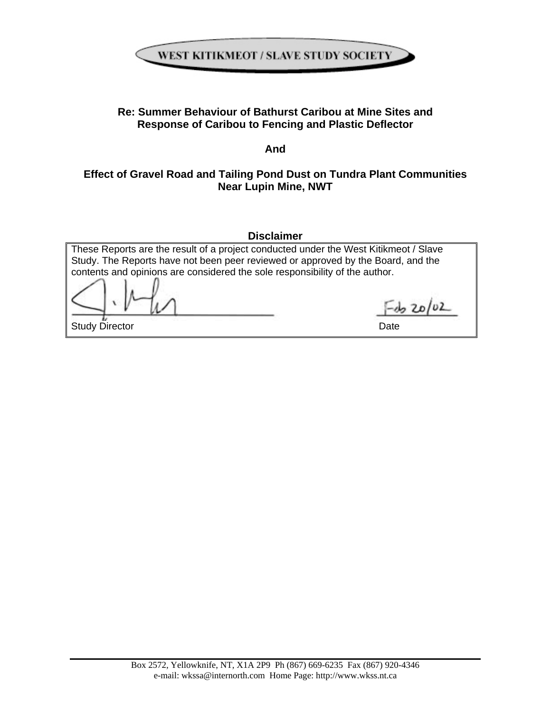

# **Re: Summer Behaviour of Bathurst Caribou at Mine Sites and Response of Caribou to Fencing and Plastic Deflector**

**And** 

# **Effect of Gravel Road and Tailing Pond Dust on Tundra Plant Communities Near Lupin Mine, NWT**

**Disclaimer** 

These Reports are the result of a project conducted under the West Kitikmeot / Slave Study. The Reports have not been peer reviewed or approved by the Board, and the contents and opinions are considered the sole responsibility of the author.

 $= 20/02$ 

Study Director Date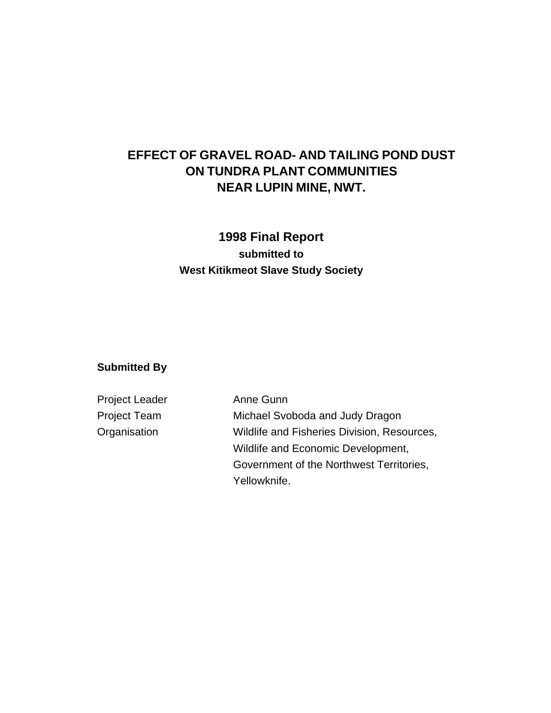# **EFFECT OF GRAVEL ROAD- AND TAILING POND DUST ON TUNDRA PLANT COMMUNITIES NEAR LUPIN MINE, NWT.**

# **1998 Final Report submitted to West Kitikmeot Slave Study Society**

### **Submitted By**

| <b>Project Leader</b> | Anne Gunn                                   |
|-----------------------|---------------------------------------------|
| <b>Project Team</b>   | Michael Svoboda and Judy Dragon             |
| Organisation          | Wildlife and Fisheries Division, Resources, |
|                       | Wildlife and Economic Development,          |
|                       | Government of the Northwest Territories,    |
|                       | Yellowknife.                                |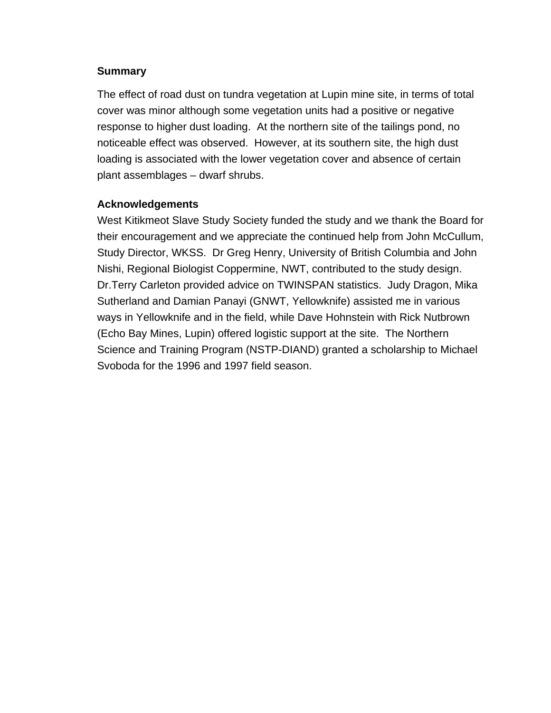#### **Summary**

The effect of road dust on tundra vegetation at Lupin mine site, in terms of total cover was minor although some vegetation units had a positive or negative response to higher dust loading. At the northern site of the tailings pond, no noticeable effect was observed. However, at its southern site, the high dust loading is associated with the lower vegetation cover and absence of certain plant assemblages – dwarf shrubs.

# **Acknowledgements**

West Kitikmeot Slave Study Society funded the study and we thank the Board for their encouragement and we appreciate the continued help from John McCullum, Study Director, WKSS. Dr Greg Henry, University of British Columbia and John Nishi, Regional Biologist Coppermine, NWT, contributed to the study design. Dr.Terry Carleton provided advice on TWINSPAN statistics. Judy Dragon, Mika Sutherland and Damian Panayi (GNWT, Yellowknife) assisted me in various ways in Yellowknife and in the field, while Dave Hohnstein with Rick Nutbrown (Echo Bay Mines, Lupin) offered logistic support at the site. The Northern Science and Training Program (NSTP-DIAND) granted a scholarship to Michael Svoboda for the 1996 and 1997 field season.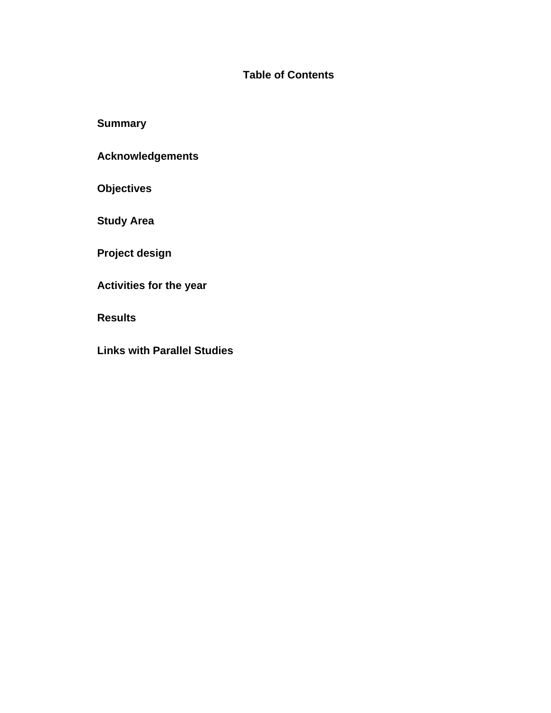# **Table of Contents**

**Summary** 

**Acknowledgements** 

**Objectives** 

**Study Area** 

**Project design** 

**Activities for the year** 

**Results**

**Links with Parallel Studies**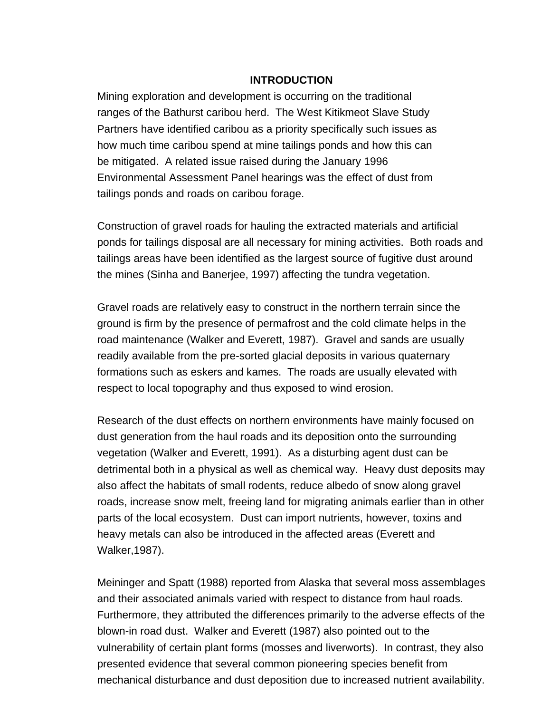#### **INTRODUCTION**

Mining exploration and development is occurring on the traditional ranges of the Bathurst caribou herd. The West Kitikmeot Slave Study Partners have identified caribou as a priority specifically such issues as how much time caribou spend at mine tailings ponds and how this can be mitigated. A related issue raised during the January 1996 Environmental Assessment Panel hearings was the effect of dust from tailings ponds and roads on caribou forage.

Construction of gravel roads for hauling the extracted materials and artificial ponds for tailings disposal are all necessary for mining activities. Both roads and tailings areas have been identified as the largest source of fugitive dust around the mines (Sinha and Banerjee, 1997) affecting the tundra vegetation.

Gravel roads are relatively easy to construct in the northern terrain since the ground is firm by the presence of permafrost and the cold climate helps in the road maintenance (Walker and Everett, 1987). Gravel and sands are usually readily available from the pre-sorted glacial deposits in various quaternary formations such as eskers and kames. The roads are usually elevated with respect to local topography and thus exposed to wind erosion.

Research of the dust effects on northern environments have mainly focused on dust generation from the haul roads and its deposition onto the surrounding vegetation (Walker and Everett, 1991). As a disturbing agent dust can be detrimental both in a physical as well as chemical way. Heavy dust deposits may also affect the habitats of small rodents, reduce albedo of snow along gravel roads, increase snow melt, freeing land for migrating animals earlier than in other parts of the local ecosystem. Dust can import nutrients, however, toxins and heavy metals can also be introduced in the affected areas (Everett and Walker,1987).

Meininger and Spatt (1988) reported from Alaska that several moss assemblages and their associated animals varied with respect to distance from haul roads. Furthermore, they attributed the differences primarily to the adverse effects of the blown-in road dust. Walker and Everett (1987) also pointed out to the vulnerability of certain plant forms (mosses and liverworts). In contrast, they also presented evidence that several common pioneering species benefit from mechanical disturbance and dust deposition due to increased nutrient availability.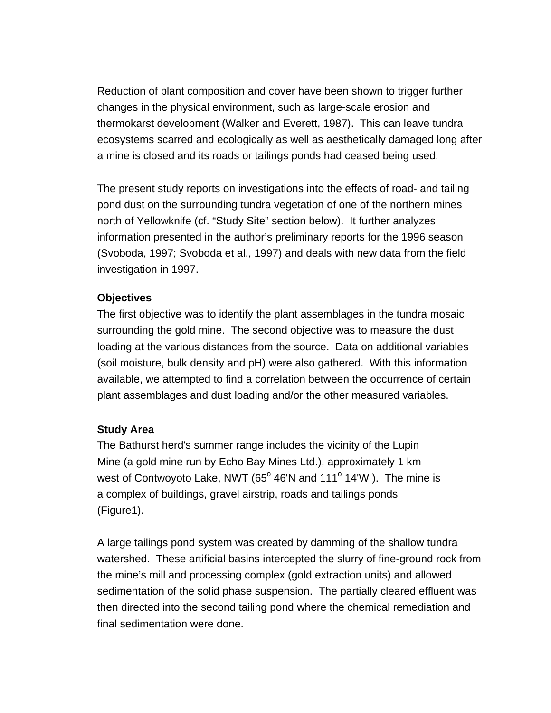Reduction of plant composition and cover have been shown to trigger further changes in the physical environment, such as large-scale erosion and thermokarst development (Walker and Everett, 1987). This can leave tundra ecosystems scarred and ecologically as well as aesthetically damaged long after a mine is closed and its roads or tailings ponds had ceased being used.

The present study reports on investigations into the effects of road- and tailing pond dust on the surrounding tundra vegetation of one of the northern mines north of Yellowknife (cf. "Study Site" section below). It further analyzes information presented in the author's preliminary reports for the 1996 season (Svoboda, 1997; Svoboda et al., 1997) and deals with new data from the field investigation in 1997.

# **Objectives**

The first objective was to identify the plant assemblages in the tundra mosaic surrounding the gold mine. The second objective was to measure the dust loading at the various distances from the source. Data on additional variables (soil moisture, bulk density and pH) were also gathered. With this information available, we attempted to find a correlation between the occurrence of certain plant assemblages and dust loading and/or the other measured variables.

#### **Study Area**

The Bathurst herd's summer range includes the vicinity of the Lupin Mine (a gold mine run by Echo Bay Mines Ltd.), approximately 1 km west of Contwoyoto Lake, NWT (65 $^{\circ}$  46'N and 111 $^{\circ}$  14'W). The mine is a complex of buildings, gravel airstrip, roads and tailings ponds (Figure1).

A large tailings pond system was created by damming of the shallow tundra watershed. These artificial basins intercepted the slurry of fine-ground rock from the mine's mill and processing complex (gold extraction units) and allowed sedimentation of the solid phase suspension. The partially cleared effluent was then directed into the second tailing pond where the chemical remediation and final sedimentation were done.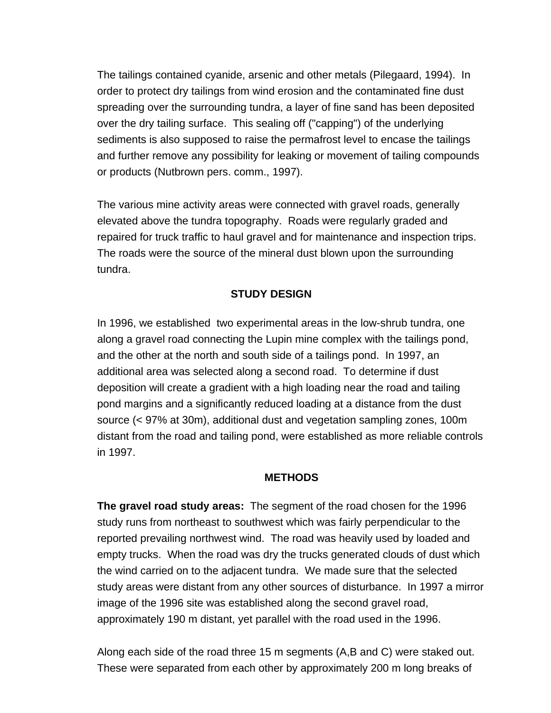The tailings contained cyanide, arsenic and other metals (Pilegaard, 1994). In order to protect dry tailings from wind erosion and the contaminated fine dust spreading over the surrounding tundra, a layer of fine sand has been deposited over the dry tailing surface. This sealing off ("capping") of the underlying sediments is also supposed to raise the permafrost level to encase the tailings and further remove any possibility for leaking or movement of tailing compounds or products (Nutbrown pers. comm., 1997).

The various mine activity areas were connected with gravel roads, generally elevated above the tundra topography. Roads were regularly graded and repaired for truck traffic to haul gravel and for maintenance and inspection trips. The roads were the source of the mineral dust blown upon the surrounding tundra.

### **STUDY DESIGN**

In 1996, we established two experimental areas in the low-shrub tundra, one along a gravel road connecting the Lupin mine complex with the tailings pond, and the other at the north and south side of a tailings pond. In 1997, an additional area was selected along a second road. To determine if dust deposition will create a gradient with a high loading near the road and tailing pond margins and a significantly reduced loading at a distance from the dust source (< 97% at 30m), additional dust and vegetation sampling zones, 100m distant from the road and tailing pond, were established as more reliable controls in 1997.

#### **METHODS**

**The gravel road study areas:** The segment of the road chosen for the 1996 study runs from northeast to southwest which was fairly perpendicular to the reported prevailing northwest wind. The road was heavily used by loaded and empty trucks. When the road was dry the trucks generated clouds of dust which the wind carried on to the adjacent tundra. We made sure that the selected study areas were distant from any other sources of disturbance. In 1997 a mirror image of the 1996 site was established along the second gravel road, approximately 190 m distant, yet parallel with the road used in the 1996.

Along each side of the road three 15 m segments (A,B and C) were staked out. These were separated from each other by approximately 200 m long breaks of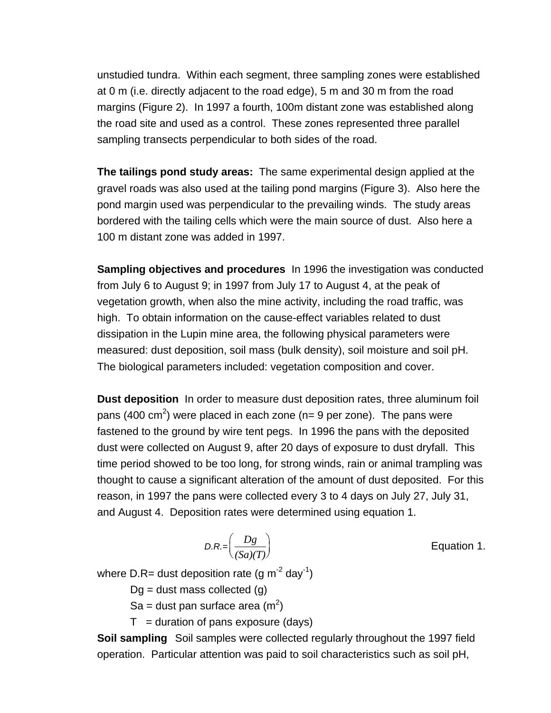unstudied tundra. Within each segment, three sampling zones were established at 0 m (i.e. directly adjacent to the road edge), 5 m and 30 m from the road margins (Figure 2). In 1997 a fourth, 100m distant zone was established along the road site and used as a control. These zones represented three parallel sampling transects perpendicular to both sides of the road.

**The tailings pond study areas:** The same experimental design applied at the gravel roads was also used at the tailing pond margins (Figure 3). Also here the pond margin used was perpendicular to the prevailing winds. The study areas bordered with the tailing cells which were the main source of dust. Also here a 100 m distant zone was added in 1997.

**Sampling objectives and procedures** In 1996 the investigation was conducted from July 6 to August 9; in 1997 from July 17 to August 4, at the peak of vegetation growth, when also the mine activity, including the road traffic, was high. To obtain information on the cause-effect variables related to dust dissipation in the Lupin mine area, the following physical parameters were measured: dust deposition, soil mass (bulk density), soil moisture and soil pH. The biological parameters included: vegetation composition and cover.

**Dust deposition** In order to measure dust deposition rates, three aluminum foil pans (400 cm<sup>2</sup>) were placed in each zone (n= 9 per zone). The pans were fastened to the ground by wire tent pegs. In 1996 the pans with the deposited dust were collected on August 9, after 20 days of exposure to dust dryfall. This time period showed to be too long, for strong winds, rain or animal trampling was thought to cause a significant alteration of the amount of dust deposited. For this reason, in 1997 the pans were collected every 3 to 4 days on July 27, July 31, and August 4. Deposition rates were determined using equation 1.

$$
D.R. = \left(\frac{Dg}{(Sa)(T)}\right)
$$

Equation 1.

where D.R= dust deposition rate (g  $m^{-2}$  day<sup>-1</sup>)

 $Dq = dust$  mass collected  $(q)$ 

Sa = dust pan surface area (m<sup>2</sup>)

 $T =$  duration of pans exposure (days)

**Soil sampling** Soil samples were collected regularly throughout the 1997 field operation. Particular attention was paid to soil characteristics such as soil pH,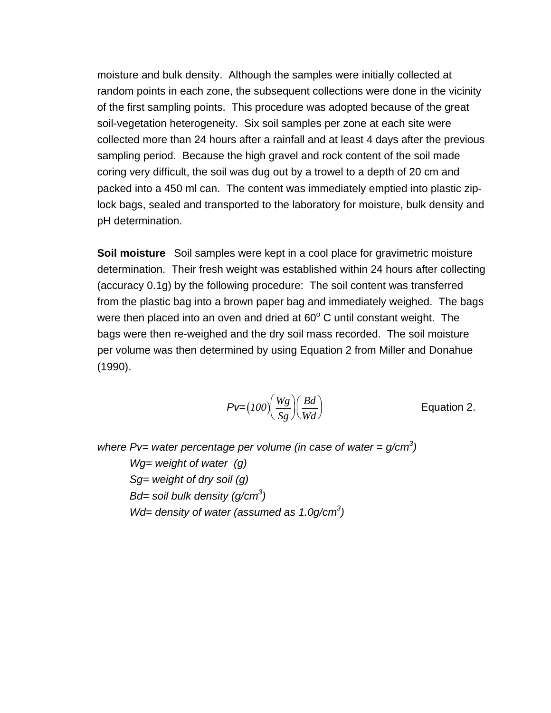moisture and bulk density. Although the samples were initially collected at random points in each zone, the subsequent collections were done in the vicinity of the first sampling points. This procedure was adopted because of the great soil-vegetation heterogeneity. Six soil samples per zone at each site were collected more than 24 hours after a rainfall and at least 4 days after the previous sampling period. Because the high gravel and rock content of the soil made coring very difficult, the soil was dug out by a trowel to a depth of 20 cm and packed into a 450 ml can. The content was immediately emptied into plastic ziplock bags, sealed and transported to the laboratory for moisture, bulk density and pH determination.

**Soil moisture** Soil samples were kept in a cool place for gravimetric moisture determination. Their fresh weight was established within 24 hours after collecting (accuracy 0.1g) by the following procedure: The soil content was transferred from the plastic bag into a brown paper bag and immediately weighed. The bags were then placed into an oven and dried at  $60^{\circ}$  C until constant weight. The bags were then re-weighed and the dry soil mass recorded. The soil moisture per volume was then determined by using Equation 2 from Miller and Donahue (1990).

$$
Pv=(100)\left(\frac{Wg}{Sg}\right)\left(\frac{Bd}{Wd}\right)
$$
 Equation 2.

where  $Pv=$  water percentage per volume (in case of water =  $g/cm<sup>3</sup>$ )  *Wg= weight of water (g) Sg= weight of dry soil (g) Bd= soil bulk density (g/cm3 ) Wd= density of water (assumed as 1.0g/cm3 )*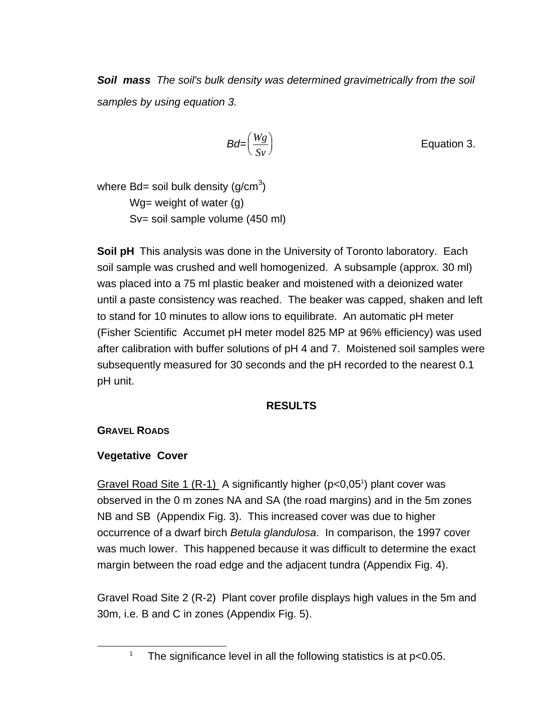*Soil mass The soil's bulk density was determined gravimetrically from the soil samples by using equation 3.* 

$$
Bd = \left(\frac{Wg}{Sv}\right)
$$
 Equation 3.

where Bd= soil bulk density (g/cm $3$ ) Wg= weight of water (g) Sv= soil sample volume (450 ml)

**Soil pH** This analysis was done in the University of Toronto laboratory. Each soil sample was crushed and well homogenized. A subsample (approx. 30 ml) was placed into a 75 ml plastic beaker and moistened with a deionized water until a paste consistency was reached. The beaker was capped, shaken and left to stand for 10 minutes to allow ions to equilibrate. An automatic pH meter (Fisher Scientific Accumet pH meter model 825 MP at 96% efficiency) was used after calibration with buffer solutions of pH 4 and 7. Moistened soil samples were subsequently measured for 30 seconds and the pH recorded to the nearest 0.1 pH unit.

# **RESULTS**

**GRAVEL ROADS**

# **Vegetative Cover**

Gravel Road Site 1 (R-1) A significantly higher (p<0,05<sup>1</sup>) plant cover was observed in the 0 m zones NA and SA (the road margins) and in the 5m zones NB and SB (Appendix Fig. 3). This increased cover was due to higher occurrence of a dwarf birch *Betula glandulosa*. In comparison, the 1997 cover was much lower. This happened because it was difficult to determine the exact margin between the road edge and the adjacent tundra (Appendix Fig. 4).

Gravel Road Site 2 (R-2) Plant cover profile displays high values in the 5m and 30m, i.e. B and C in zones (Appendix Fig. 5).

 $\frac{1}{1}$ The significance level in all the following statistics is at p<0.05.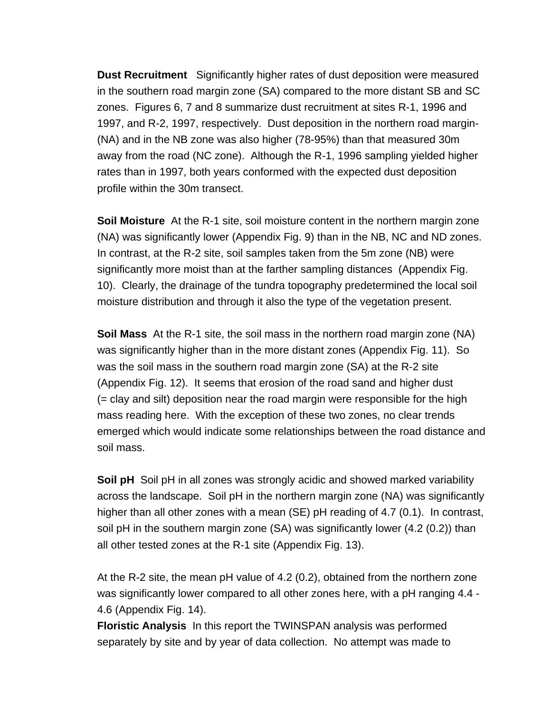**Dust Recruitment** Significantly higher rates of dust deposition were measured in the southern road margin zone (SA) compared to the more distant SB and SC zones. Figures 6, 7 and 8 summarize dust recruitment at sites R-1, 1996 and 1997, and R-2, 1997, respectively. Dust deposition in the northern road margin- (NA) and in the NB zone was also higher (78-95%) than that measured 30m away from the road (NC zone). Although the R-1, 1996 sampling yielded higher rates than in 1997, both years conformed with the expected dust deposition profile within the 30m transect.

**Soil Moisture** At the R-1 site, soil moisture content in the northern margin zone (NA) was significantly lower (Appendix Fig. 9) than in the NB, NC and ND zones. In contrast, at the R-2 site, soil samples taken from the 5m zone (NB) were significantly more moist than at the farther sampling distances (Appendix Fig. 10). Clearly, the drainage of the tundra topography predetermined the local soil moisture distribution and through it also the type of the vegetation present.

**Soil Mass** At the R-1 site, the soil mass in the northern road margin zone (NA) was significantly higher than in the more distant zones (Appendix Fig. 11). So was the soil mass in the southern road margin zone (SA) at the R-2 site (Appendix Fig. 12). It seems that erosion of the road sand and higher dust (= clay and silt) deposition near the road margin were responsible for the high mass reading here. With the exception of these two zones, no clear trends emerged which would indicate some relationships between the road distance and soil mass.

**Soil pH** Soil pH in all zones was strongly acidic and showed marked variability across the landscape. Soil pH in the northern margin zone (NA) was significantly higher than all other zones with a mean (SE) pH reading of 4.7 (0.1). In contrast, soil pH in the southern margin zone (SA) was significantly lower (4.2 (0.2)) than all other tested zones at the R-1 site (Appendix Fig. 13).

At the R-2 site, the mean pH value of 4.2 (0.2), obtained from the northern zone was significantly lower compared to all other zones here, with a pH ranging 4.4 - 4.6 (Appendix Fig. 14).

**Floristic Analysis** In this report the TWINSPAN analysis was performed separately by site and by year of data collection. No attempt was made to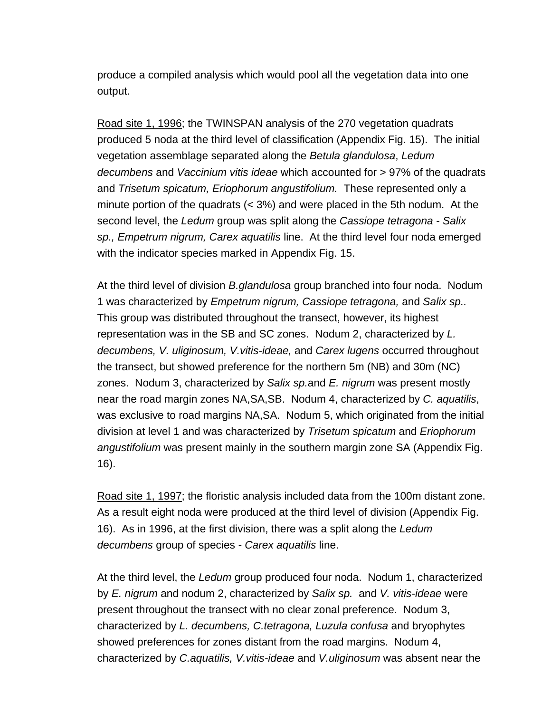produce a compiled analysis which would pool all the vegetation data into one output.

Road site 1, 1996; the TWINSPAN analysis of the 270 vegetation quadrats produced 5 noda at the third level of classification (Appendix Fig. 15). The initial vegetation assemblage separated along the *Betula glandulosa*, *Ledum decumbens* and *Vaccinium vitis ideae* which accounted for > 97% of the quadrats and *Trisetum spicatum, Eriophorum angustifolium.* These represented only a minute portion of the quadrats (< 3%) and were placed in the 5th nodum. At the second level, the *Ledum* group was split along the *Cassiope tetragona - Salix sp., Empetrum nigrum, Carex aquatilis* line. At the third level four noda emerged with the indicator species marked in Appendix Fig. 15.

At the third level of division *B.glandulosa* group branched into four noda. Nodum 1 was characterized by *Empetrum nigrum, Cassiope tetragona,* and *Salix sp..*  This group was distributed throughout the transect, however, its highest representation was in the SB and SC zones. Nodum 2, characterized by *L. decumbens, V. uliginosum, V.vitis-ideae,* and *Carex lugens* occurred throughout the transect, but showed preference for the northern 5m (NB) and 30m (NC) zones. Nodum 3, characterized by *Salix sp.*and *E. nigrum* was present mostly near the road margin zones NA,SA,SB. Nodum 4, characterized by *C. aquatilis*, was exclusive to road margins NA,SA. Nodum 5, which originated from the initial division at level 1 and was characterized by *Trisetum spicatum* and *Eriophorum angustifolium* was present mainly in the southern margin zone SA (Appendix Fig. 16).

Road site 1, 1997; the floristic analysis included data from the 100m distant zone. As a result eight noda were produced at the third level of division (Appendix Fig. 16). As in 1996, at the first division, there was a split along the *Ledum decumbens* group of species *- Carex aquatilis* line.

At the third level, the *Ledum* group produced four noda. Nodum 1, characterized by *E. nigrum* and nodum 2, characterized by *Salix sp.* and *V. vitis-ideae* were present throughout the transect with no clear zonal preference. Nodum 3, characterized by *L. decumbens, C.tetragona, Luzula confusa* and bryophytes showed preferences for zones distant from the road margins. Nodum 4, characterized by *C.aquatilis, V.vitis-ideae* and *V.uliginosum* was absent near the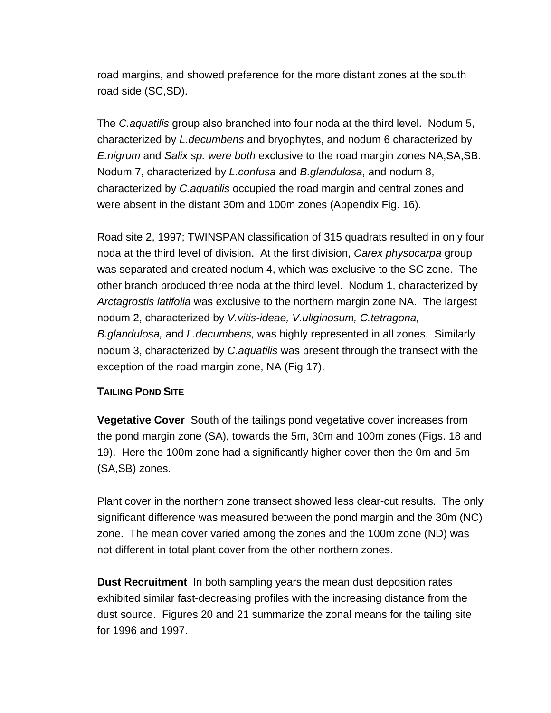road margins, and showed preference for the more distant zones at the south road side (SC,SD).

The *C.aquatilis* group also branched into four noda at the third level. Nodum 5, characterized by *L.decumbens* and bryophytes, and nodum 6 characterized by *E.nigrum* and *Salix sp. were both* exclusive to the road margin zones NA,SA,SB. Nodum 7, characterized by *L.confusa* and *B.glandulosa*, and nodum 8, characterized by *C.aquatilis* occupied the road margin and central zones and were absent in the distant 30m and 100m zones (Appendix Fig. 16).

Road site 2, 1997; TWINSPAN classification of 315 quadrats resulted in only four noda at the third level of division. At the first division, *Carex physocarpa* group was separated and created nodum 4, which was exclusive to the SC zone. The other branch produced three noda at the third level. Nodum 1, characterized by *Arctagrostis latifolia* was exclusive to the northern margin zone NA. The largest nodum 2, characterized by *V.vitis-ideae, V.uliginosum, C.tetragona, B.glandulosa,* and *L.decumbens,* was highly represented in all zones. Similarly nodum 3, characterized by *C.aquatilis* was present through the transect with the exception of the road margin zone, NA (Fig 17).

#### **TAILING POND SITE**

**Vegetative Cover** South of the tailings pond vegetative cover increases from the pond margin zone (SA), towards the 5m, 30m and 100m zones (Figs. 18 and 19). Here the 100m zone had a significantly higher cover then the 0m and 5m (SA,SB) zones.

Plant cover in the northern zone transect showed less clear-cut results. The only significant difference was measured between the pond margin and the 30m (NC) zone. The mean cover varied among the zones and the 100m zone (ND) was not different in total plant cover from the other northern zones.

**Dust Recruitment** In both sampling years the mean dust deposition rates exhibited similar fast-decreasing profiles with the increasing distance from the dust source. Figures 20 and 21 summarize the zonal means for the tailing site for 1996 and 1997.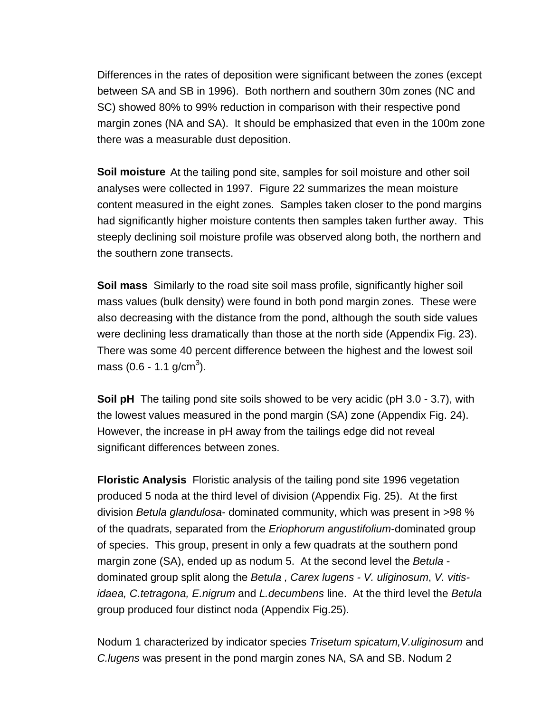Differences in the rates of deposition were significant between the zones (except between SA and SB in 1996). Both northern and southern 30m zones (NC and SC) showed 80% to 99% reduction in comparison with their respective pond margin zones (NA and SA). It should be emphasized that even in the 100m zone there was a measurable dust deposition.

**Soil moisture** At the tailing pond site, samples for soil moisture and other soil analyses were collected in 1997. Figure 22 summarizes the mean moisture content measured in the eight zones. Samples taken closer to the pond margins had significantly higher moisture contents then samples taken further away. This steeply declining soil moisture profile was observed along both, the northern and the southern zone transects.

**Soil mass** Similarly to the road site soil mass profile, significantly higher soil mass values (bulk density) were found in both pond margin zones. These were also decreasing with the distance from the pond, although the south side values were declining less dramatically than those at the north side (Appendix Fig. 23). There was some 40 percent difference between the highest and the lowest soil mass (0.6 - 1.1 g/cm<sup>3</sup>).

**Soil pH** The tailing pond site soils showed to be very acidic (pH 3.0 - 3.7), with the lowest values measured in the pond margin (SA) zone (Appendix Fig. 24). However, the increase in pH away from the tailings edge did not reveal significant differences between zones.

**Floristic Analysis** Floristic analysis of the tailing pond site 1996 vegetation produced 5 noda at the third level of division (Appendix Fig. 25). At the first division *Betula glandulosa*- dominated community, which was present in >98 % of the quadrats, separated from the *Eriophorum angustifolium-*dominated group of species. This group, present in only a few quadrats at the southern pond margin zone (SA), ended up as nodum 5. At the second level the *Betula*  dominated group split along the *Betula , Carex lugens - V. uliginosum*, *V. vitisidaea, C.tetragona, E.nigrum* and *L.decumbens* line. At the third level the *Betula* group produced four distinct noda (Appendix Fig.25).

Nodum 1 characterized by indicator species *Trisetum spicatum,V.uliginosum* and *C.lugens* was present in the pond margin zones NA, SA and SB. Nodum 2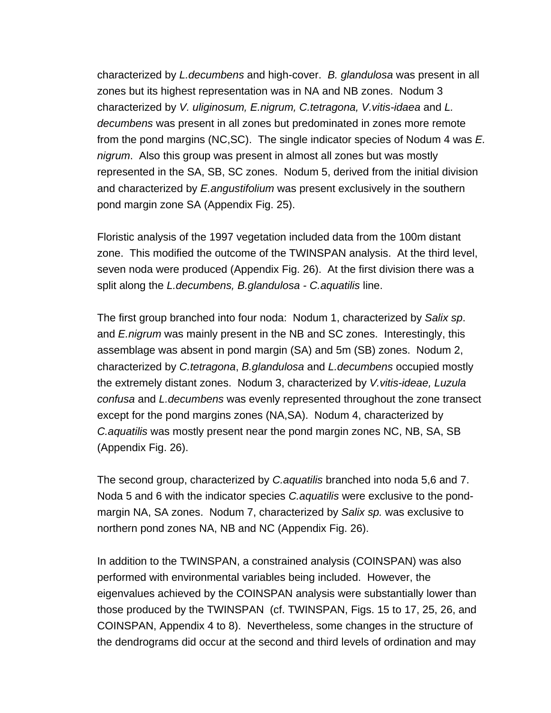characterized by *L.decumbens* and high-cover. *B. glandulosa* was present in all zones but its highest representation was in NA and NB zones. Nodum 3 characterized by *V. uliginosum, E.nigrum, C.tetragona, V.vitis-idaea* and *L. decumbens* was present in all zones but predominated in zones more remote from the pond margins (NC,SC). The single indicator species of Nodum 4 was *E. nigrum*. Also this group was present in almost all zones but was mostly represented in the SA, SB, SC zones. Nodum 5, derived from the initial division and characterized by *E.angustifolium* was present exclusively in the southern pond margin zone SA (Appendix Fig. 25).

Floristic analysis of the 1997 vegetation included data from the 100m distant zone. This modified the outcome of the TWINSPAN analysis. At the third level, seven noda were produced (Appendix Fig. 26). At the first division there was a split along the *L.decumbens, B.glandulosa - C.aquatilis* line.

The first group branched into four noda: Nodum 1, characterized by *Salix sp*. and *E.nigrum* was mainly present in the NB and SC zones. Interestingly, this assemblage was absent in pond margin (SA) and 5m (SB) zones. Nodum 2, characterized by *C.tetragona*, *B.glandulosa* and *L.decumbens* occupied mostly the extremely distant zones. Nodum 3, characterized by *V.vitis-ideae, Luzula confusa* and *L.decumbens* was evenly represented throughout the zone transect except for the pond margins zones (NA,SA). Nodum 4, characterized by *C.aquatilis* was mostly present near the pond margin zones NC, NB, SA, SB (Appendix Fig. 26).

The second group, characterized by *C.aquatilis* branched into noda 5,6 and 7. Noda 5 and 6 with the indicator species *C.aquatilis* were exclusive to the pondmargin NA, SA zones. Nodum 7, characterized by *Salix sp.* was exclusive to northern pond zones NA, NB and NC (Appendix Fig. 26).

In addition to the TWINSPAN, a constrained analysis (COINSPAN) was also performed with environmental variables being included. However, the eigenvalues achieved by the COINSPAN analysis were substantially lower than those produced by the TWINSPAN (cf. TWINSPAN, Figs. 15 to 17, 25, 26, and COINSPAN, Appendix 4 to 8). Nevertheless, some changes in the structure of the dendrograms did occur at the second and third levels of ordination and may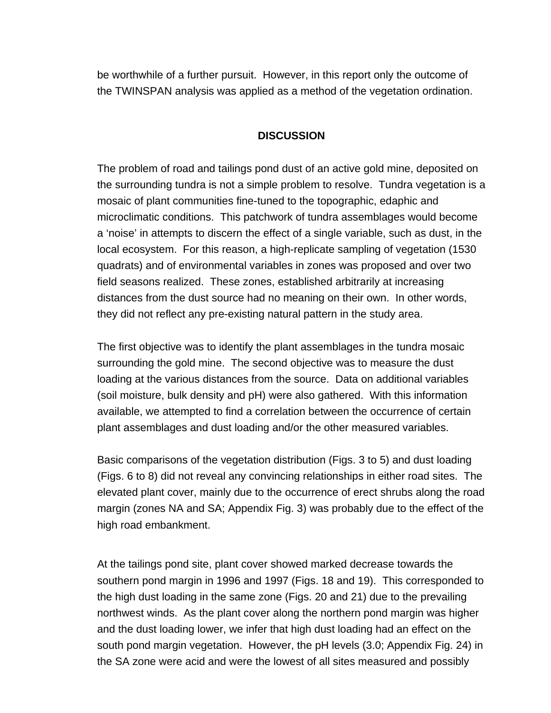be worthwhile of a further pursuit. However, in this report only the outcome of the TWINSPAN analysis was applied as a method of the vegetation ordination.

#### **DISCUSSION**

The problem of road and tailings pond dust of an active gold mine, deposited on the surrounding tundra is not a simple problem to resolve. Tundra vegetation is a mosaic of plant communities fine-tuned to the topographic, edaphic and microclimatic conditions. This patchwork of tundra assemblages would become a 'noise' in attempts to discern the effect of a single variable, such as dust, in the local ecosystem. For this reason, a high-replicate sampling of vegetation (1530 quadrats) and of environmental variables in zones was proposed and over two field seasons realized. These zones, established arbitrarily at increasing distances from the dust source had no meaning on their own. In other words, they did not reflect any pre-existing natural pattern in the study area.

The first objective was to identify the plant assemblages in the tundra mosaic surrounding the gold mine. The second objective was to measure the dust loading at the various distances from the source. Data on additional variables (soil moisture, bulk density and pH) were also gathered. With this information available, we attempted to find a correlation between the occurrence of certain plant assemblages and dust loading and/or the other measured variables.

Basic comparisons of the vegetation distribution (Figs. 3 to 5) and dust loading (Figs. 6 to 8) did not reveal any convincing relationships in either road sites. The elevated plant cover, mainly due to the occurrence of erect shrubs along the road margin (zones NA and SA; Appendix Fig. 3) was probably due to the effect of the high road embankment.

At the tailings pond site, plant cover showed marked decrease towards the southern pond margin in 1996 and 1997 (Figs. 18 and 19). This corresponded to the high dust loading in the same zone (Figs. 20 and 21) due to the prevailing northwest winds. As the plant cover along the northern pond margin was higher and the dust loading lower, we infer that high dust loading had an effect on the south pond margin vegetation. However, the pH levels (3.0; Appendix Fig. 24) in the SA zone were acid and were the lowest of all sites measured and possibly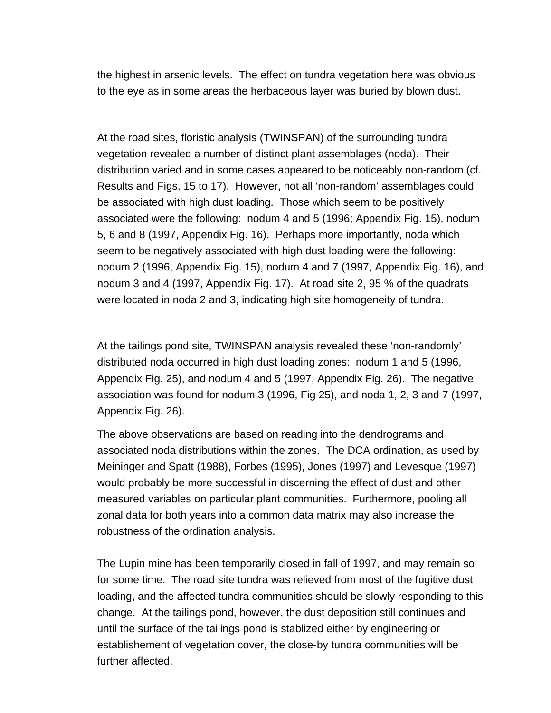the highest in arsenic levels. The effect on tundra vegetation here was obvious to the eye as in some areas the herbaceous layer was buried by blown dust.

At the road sites, floristic analysis (TWINSPAN) of the surrounding tundra vegetation revealed a number of distinct plant assemblages (noda). Their distribution varied and in some cases appeared to be noticeably non-random (cf. Results and Figs. 15 to 17). However, not all 'non-random' assemblages could be associated with high dust loading. Those which seem to be positively associated were the following: nodum 4 and 5 (1996; Appendix Fig. 15), nodum 5, 6 and 8 (1997, Appendix Fig. 16). Perhaps more importantly, noda which seem to be negatively associated with high dust loading were the following: nodum 2 (1996, Appendix Fig. 15), nodum 4 and 7 (1997, Appendix Fig. 16), and nodum 3 and 4 (1997, Appendix Fig. 17). At road site 2, 95 % of the quadrats were located in noda 2 and 3, indicating high site homogeneity of tundra.

At the tailings pond site, TWINSPAN analysis revealed these 'non-randomly' distributed noda occurred in high dust loading zones: nodum 1 and 5 (1996, Appendix Fig. 25), and nodum 4 and 5 (1997, Appendix Fig. 26). The negative association was found for nodum 3 (1996, Fig 25), and noda 1, 2, 3 and 7 (1997, Appendix Fig. 26).

The above observations are based on reading into the dendrograms and associated noda distributions within the zones. The DCA ordination, as used by Meininger and Spatt (1988), Forbes (1995), Jones (1997) and Levesque (1997) would probably be more successful in discerning the effect of dust and other measured variables on particular plant communities. Furthermore, pooling all zonal data for both years into a common data matrix may also increase the robustness of the ordination analysis.

The Lupin mine has been temporarily closed in fall of 1997, and may remain so for some time. The road site tundra was relieved from most of the fugitive dust loading, and the affected tundra communities should be slowly responding to this change. At the tailings pond, however, the dust deposition still continues and until the surface of the tailings pond is stablized either by engineering or establishement of vegetation cover, the close-by tundra communities will be further affected.